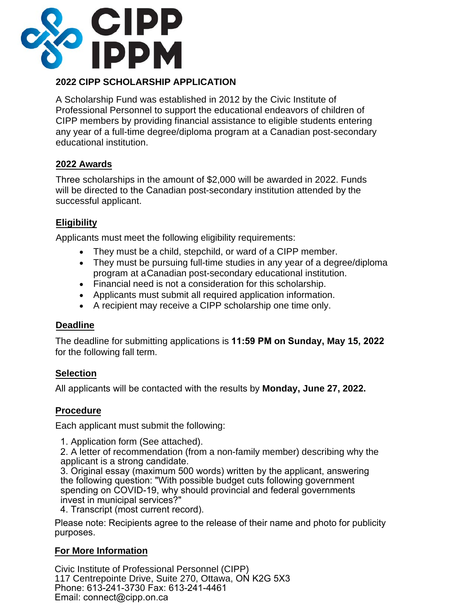

# **2022 CIPP SCHOLARSHIP APPLICATION**

A Scholarship Fund was established in 2012 by the Civic Institute of Professional Personnel to support the educational endeavors of children of CIPP members by providing financial assistance to eligible students entering any year of a full-time degree/diploma program at a Canadian post-secondary educational institution.

#### **2022 Awards**

Three scholarships in the amount of \$2,000 will be awarded in 2022. Funds will be directed to the Canadian post-secondary institution attended by the successful applicant.

# **Eligibility**

Applicants must meet the following eligibility requirements:

- They must be a child, stepchild, or ward of a CIPP member.
- They must be pursuing full-time studies in any year of a degree/diploma program at aCanadian post-secondary educational institution.
- Financial need is not a consideration for this scholarship.
- Applicants must submit all required application information.
- A recipient may receive a CIPP scholarship one time only.

## **Deadline**

The deadline for submitting applications is **11:59 PM on Sunday, May 15, 2022** for the following fall term.

## **Selection**

All applicants will be contacted with the results by **Monday, June 27, 2022.** 

## **Procedure**

Each applicant must submit the following:

1. Application form (See attached).

2. A letter of recommendation (from a non-family member) describing why the applicant is a strong candidate.

3. Original essay (maximum 500 words) written by the applicant, answering the following question: "With possible budget cuts following government spending on COVID-19, why should provincial and federal governments invest in municipal services?"

4. Transcript (most current record).

Please note: Recipients agree to the release of their name and photo for publicity purposes.

## **For More Information**

Civic Institute of Professional Personnel (CIPP) 117 Centrepointe Drive, Suite 270, Ottawa, ON K2G 5X3 Phone: 613-241-3730 Fax: 613-241-4461 Email: connect@cipp.on.ca